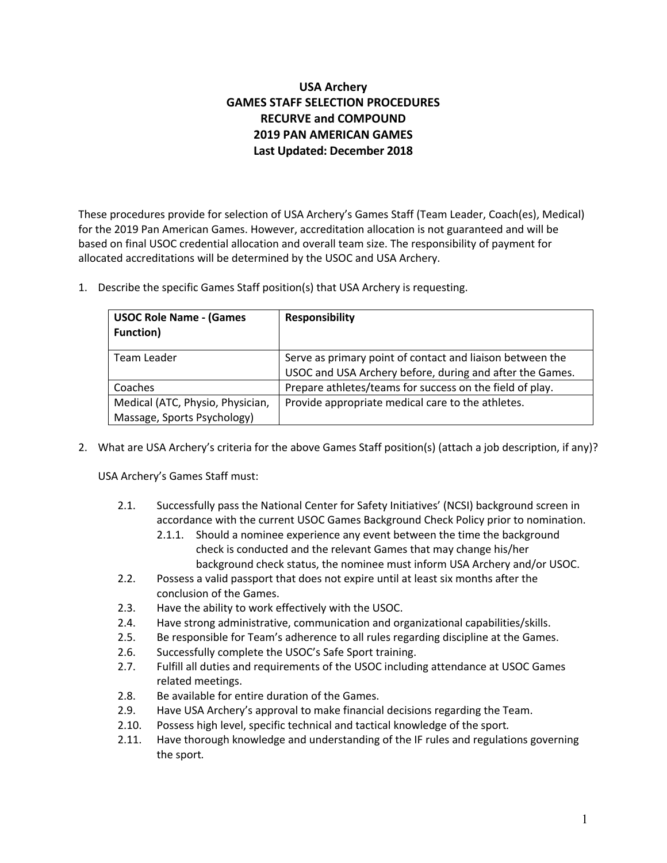# **USA Archery GAMES STAFF SELECTION PROCEDURES RECURVE and COMPOUND 2019 PAN AMERICAN GAMES Last Updated: December 2018**

These procedures provide for selection of USA Archery's Games Staff (Team Leader, Coach(es), Medical) for the 2019 Pan American Games. However, accreditation allocation is not guaranteed and will be based on final USOC credential allocation and overall team size. The responsibility of payment for allocated accreditations will be determined by the USOC and USA Archery.

1. Describe the specific Games Staff position(s) that USA Archery is requesting.

| <b>USOC Role Name - (Games</b><br><b>Function)</b>              | <b>Responsibility</b>                                                                                                 |  |
|-----------------------------------------------------------------|-----------------------------------------------------------------------------------------------------------------------|--|
| Team Leader                                                     | Serve as primary point of contact and liaison between the<br>USOC and USA Archery before, during and after the Games. |  |
| Coaches                                                         | Prepare athletes/teams for success on the field of play.                                                              |  |
| Medical (ATC, Physio, Physician,<br>Massage, Sports Psychology) | Provide appropriate medical care to the athletes.                                                                     |  |

2. What are USA Archery's criteria for the above Games Staff position(s) (attach a job description, if any)?

USA Archery's Games Staff must:

- 2.1. Successfully pass the National Center for Safety Initiatives' (NCSI) background screen in accordance with the current USOC Games Background Check Policy prior to nomination.
	- 2.1.1. Should a nominee experience any event between the time the background check is conducted and the relevant Games that may change his/her background check status, the nominee must inform USA Archery and/or USOC.
- 2.2. Possess a valid passport that does not expire until at least six months after the conclusion of the Games.
- 2.3. Have the ability to work effectively with the USOC.
- 2.4. Have strong administrative, communication and organizational capabilities/skills.
- 2.5. Be responsible for Team's adherence to all rules regarding discipline at the Games.
- 2.6. Successfully complete the USOC's Safe Sport training.
- 2.7. Fulfill all duties and requirements of the USOC including attendance at USOC Games related meetings.
- 2.8. Be available for entire duration of the Games.
- 2.9. Have USA Archery's approval to make financial decisions regarding the Team.
- 2.10. Possess high level, specific technical and tactical knowledge of the sport*.*
- 2.11. Have thorough knowledge and understanding of the IF rules and regulations governing the sport*.*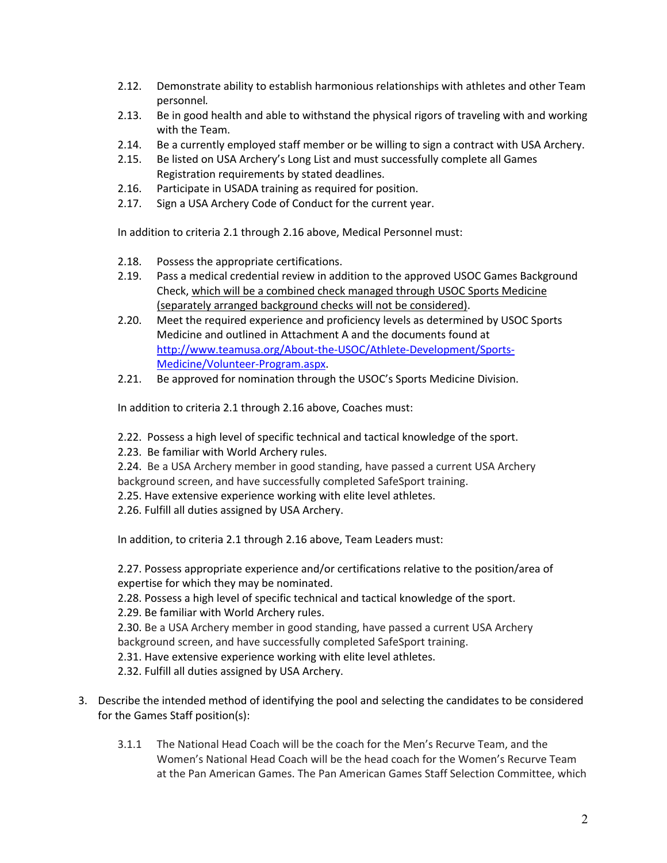- 2.12. Demonstrate ability to establish harmonious relationships with athletes and other Team personnel*.*
- 2.13. Be in good health and able to withstand the physical rigors of traveling with and working with the Team.
- 2.14. Be a currently employed staff member or be willing to sign a contract with USA Archery.
- 2.15. Be listed on USA Archery's Long List and must successfully complete all Games Registration requirements by stated deadlines.
- 2.16. Participate in USADA training as required for position.
- 2.17. Sign a USA Archery Code of Conduct for the current year.

In addition to criteria 2.1 through 2.16 above, Medical Personnel must:

- 2.18. Possess the appropriate certifications.
- 2.19. Pass a medical credential review in addition to the approved USOC Games Background Check, which will be a combined check managed through USOC Sports Medicine (separately arranged background checks will not be considered).
- 2.20. Meet the required experience and proficiency levels as determined by USOC Sports Medicine and outlined in Attachment A and the documents found at http://www.teamusa.org/About-the-USOC/Athlete-Development/Sports-Medicine/Volunteer-Program.aspx.
- 2.21. Be approved for nomination through the USOC's Sports Medicine Division.

In addition to criteria 2.1 through 2.16 above, Coaches must:

- 2.22. Possess a high level of specific technical and tactical knowledge of the sport.
- 2.23. Be familiar with World Archery rules.
- 2.24. Be a USA Archery member in good standing, have passed a current USA Archery background screen, and have successfully completed SafeSport training.
- 2.25. Have extensive experience working with elite level athletes.
- 2.26. Fulfill all duties assigned by USA Archery.

In addition, to criteria 2.1 through 2.16 above, Team Leaders must:

2.27. Possess appropriate experience and/or certifications relative to the position/area of expertise for which they may be nominated.

2.28. Possess a high level of specific technical and tactical knowledge of the sport.

2.29. Be familiar with World Archery rules.

2.30. Be a USA Archery member in good standing, have passed a current USA Archery background screen, and have successfully completed SafeSport training.

2.31. Have extensive experience working with elite level athletes.

2.32. Fulfill all duties assigned by USA Archery.

- 3. Describe the intended method of identifying the pool and selecting the candidates to be considered for the Games Staff position(s):
	- 3.1.1 The National Head Coach will be the coach for the Men's Recurve Team, and the Women's National Head Coach will be the head coach for the Women's Recurve Team at the Pan American Games. The Pan American Games Staff Selection Committee, which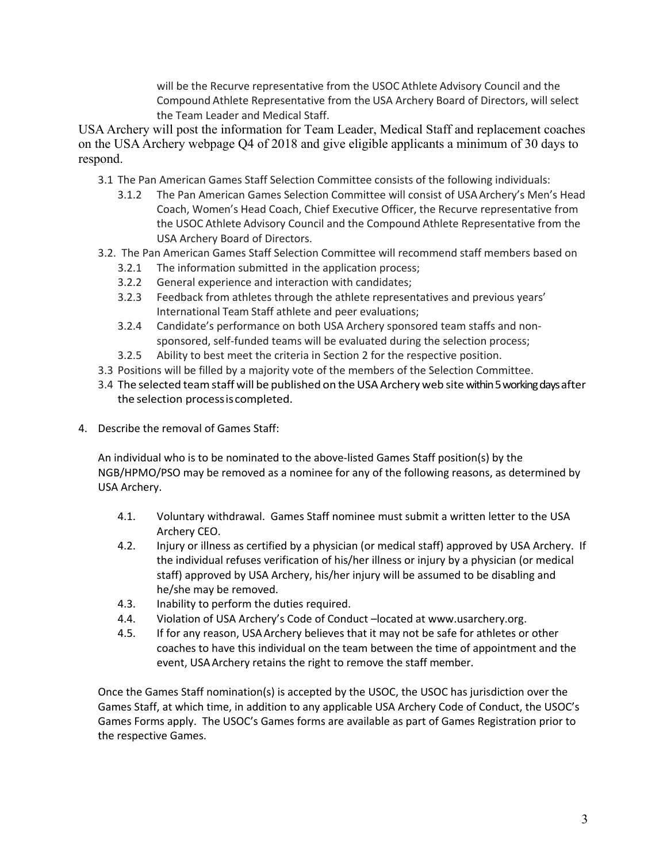will be the Recurve representative from the USOC Athlete Advisory Council and the Compound Athlete Representative from the USA Archery Board of Directors, will select the Team Leader and Medical Staff.

USA Archery will post the information for Team Leader, Medical Staff and replacement coaches on the USA Archery webpage Q4 of 2018 and give eligible applicants a minimum of 30 days to respond.

- 3.1 The Pan American Games Staff Selection Committee consists of the following individuals:
	- 3.1.2 The Pan American Games Selection Committee will consist of USAArchery's Men's Head Coach, Women's Head Coach, Chief Executive Officer, the Recurve representative from the USOC Athlete Advisory Council and the Compound Athlete Representative from the USA Archery Board of Directors.
- 3.2. The Pan American Games Staff Selection Committee will recommend staff members based on
	- 3.2.1 The information submitted in the application process;
	- 3.2.2 General experience and interaction with candidates;
	- 3.2.3 Feedback from athletes through the athlete representatives and previous years' International Team Staff athlete and peer evaluations;
	- 3.2.4 Candidate's performance on both USA Archery sponsored team staffs and nonsponsored, self-funded teams will be evaluated during the selection process;
	- 3.2.5 Ability to best meet the criteria in Section 2 for the respective position.
- 3.3 Positions will be filled by a majority vote of the members of the Selection Committee.
- 3.4 The selected team staff will be published on the USA Archery web site within 5 working days after the selection processiscompleted.
- 4. Describe the removal of Games Staff:

An individual who is to be nominated to the above-listed Games Staff position(s) by the NGB/HPMO/PSO may be removed as a nominee for any of the following reasons, as determined by USA Archery.

- 4.1. Voluntary withdrawal. Games Staff nominee must submit a written letter to the USA Archery CEO.
- 4.2. Injury or illness as certified by a physician (or medical staff) approved by USA Archery. If the individual refuses verification of his/her illness or injury by a physician (or medical staff) approved by USA Archery, his/her injury will be assumed to be disabling and he/she may be removed.
- 4.3. Inability to perform the duties required.
- 4.4. Violation of USA Archery's Code of Conduct –located at www.usarchery.org.
- 4.5. If for any reason, USAArchery believes that it may not be safe for athletes or other coaches to have this individual on the team between the time of appointment and the event, USAArchery retains the right to remove the staff member.

Once the Games Staff nomination(s) is accepted by the USOC, the USOC has jurisdiction over the Games Staff, at which time, in addition to any applicable USA Archery Code of Conduct, the USOC's Games Forms apply. The USOC's Games forms are available as part of Games Registration prior to the respective Games.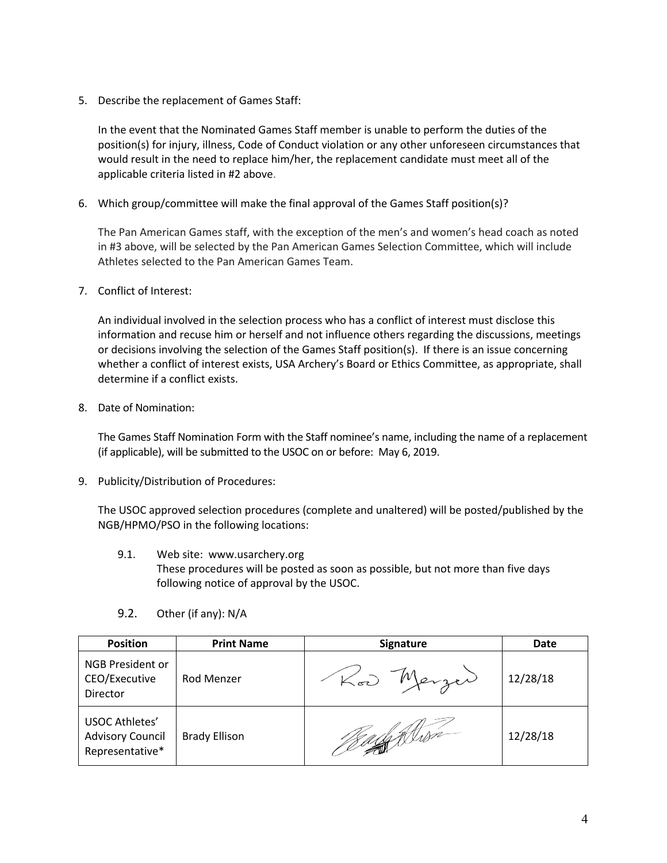5. Describe the replacement of Games Staff:

In the event that the Nominated Games Staff member is unable to perform the duties of the position(s) for injury, illness, Code of Conduct violation or any other unforeseen circumstances that would result in the need to replace him/her, the replacement candidate must meet all of the applicable criteria listed in #2 above.

6. Which group/committee will make the final approval of the Games Staff position(s)?

The Pan American Games staff, with the exception of the men's and women's head coach as noted in #3 above, will be selected by the Pan American Games Selection Committee, which will include Athletes selected to the Pan American Games Team.

7. Conflict of Interest:

An individual involved in the selection process who has a conflict of interest must disclose this information and recuse him or herself and not influence others regarding the discussions, meetings or decisions involving the selection of the Games Staff position(s). If there is an issue concerning whether a conflict of interest exists, USA Archery's Board or Ethics Committee, as appropriate, shall determine if a conflict exists.

8. Date of Nomination:

The Games Staff Nomination Form with the Staff nominee's name, including the name of a replacement (if applicable), will be submitted to the USOC on or before: May 6, 2019.

9. Publicity/Distribution of Procedures:

The USOC approved selection procedures (complete and unaltered) will be posted/published by the NGB/HPMO/PSO in the following locations:

9.1. Web site: www.usarchery.org These procedures will be posted as soon as possible, but not more than five days following notice of approval by the USOC.

| <b>Position</b>                                                     | <b>Print Name</b>    | <b>Signature</b> | Date     |
|---------------------------------------------------------------------|----------------------|------------------|----------|
| <b>NGB President or</b><br>CEO/Executive<br>Director                | Rod Menzer           | Merzer           | 12/28/18 |
| <b>USOC Athletes'</b><br><b>Advisory Council</b><br>Representative* | <b>Brady Ellison</b> | $\mathscr{A}$    | 12/28/18 |

9.2. Other (if any): N/A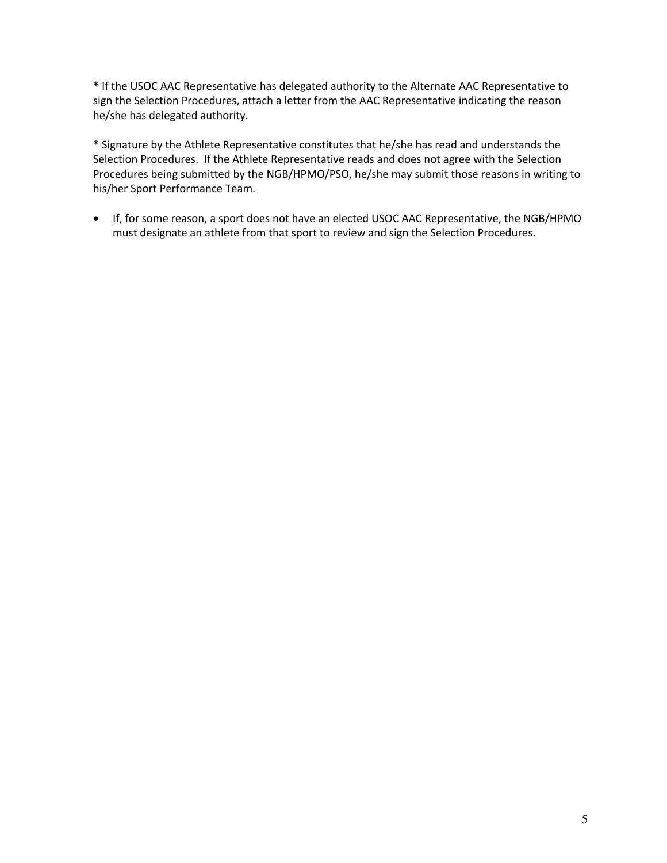\* If the USOC AAC Representative has delegated authority to the Alternate AAC Representative to sign the Selection Procedures, attach a letter from the AAC Representative indicating the reason he/she has delegated authority.

\* Signature by the Athlete Representative constitutes that he/she has read and understands the Selection Procedures. If the Athlete Representative reads and does not agree with the Selection Procedures being submitted by the NGB/HPMO/PSO, he/she may submit those reasons in writing to his/her Sport Performance Team.

• If, for some reason, a sport does not have an elected USOC AAC Representative, the NGB/HPMO must designate an athlete from that sport to review and sign the Selection Procedures.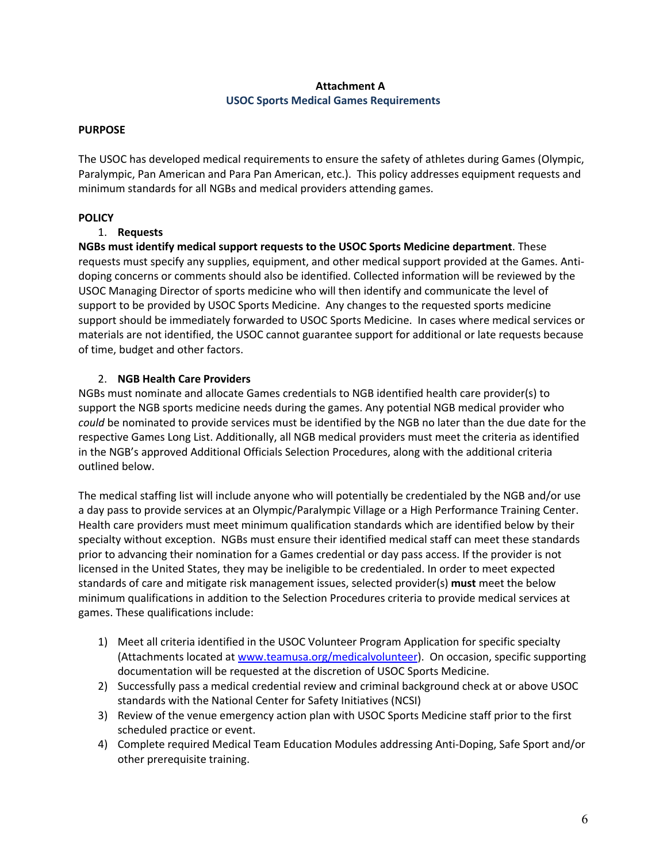## **Attachment A USOC Sports Medical Games Requirements**

#### **PURPOSE**

The USOC has developed medical requirements to ensure the safety of athletes during Games (Olympic, Paralympic, Pan American and Para Pan American, etc.). This policy addresses equipment requests and minimum standards for all NGBs and medical providers attending games.

### **POLICY**

### 1. **Requests**

**NGBs must identify medical support requests to the USOC Sports Medicine department**. These requests must specify any supplies, equipment, and other medical support provided at the Games. Antidoping concerns or comments should also be identified. Collected information will be reviewed by the USOC Managing Director of sports medicine who will then identify and communicate the level of support to be provided by USOC Sports Medicine. Any changes to the requested sports medicine support should be immediately forwarded to USOC Sports Medicine. In cases where medical services or materials are not identified, the USOC cannot guarantee support for additional or late requests because of time, budget and other factors.

### 2. **NGB Health Care Providers**

NGBs must nominate and allocate Games credentials to NGB identified health care provider(s) to support the NGB sports medicine needs during the games. Any potential NGB medical provider who *could* be nominated to provide services must be identified by the NGB no later than the due date for the respective Games Long List. Additionally, all NGB medical providers must meet the criteria as identified in the NGB's approved Additional Officials Selection Procedures, along with the additional criteria outlined below.

The medical staffing list will include anyone who will potentially be credentialed by the NGB and/or use a day pass to provide services at an Olympic/Paralympic Village or a High Performance Training Center. Health care providers must meet minimum qualification standards which are identified below by their specialty without exception. NGBs must ensure their identified medical staff can meet these standards prior to advancing their nomination for a Games credential or day pass access. If the provider is not licensed in the United States, they may be ineligible to be credentialed. In order to meet expected standards of care and mitigate risk management issues, selected provider(s) **must** meet the below minimum qualifications in addition to the Selection Procedures criteria to provide medical services at games. These qualifications include:

- 1) Meet all criteria identified in the USOC Volunteer Program Application for specific specialty (Attachments located at www.teamusa.org/medicalvolunteer). On occasion, specific supporting documentation will be requested at the discretion of USOC Sports Medicine.
- 2) Successfully pass a medical credential review and criminal background check at or above USOC standards with the National Center for Safety Initiatives (NCSI)
- 3) Review of the venue emergency action plan with USOC Sports Medicine staff prior to the first scheduled practice or event.
- 4) Complete required Medical Team Education Modules addressing Anti-Doping, Safe Sport and/or other prerequisite training.